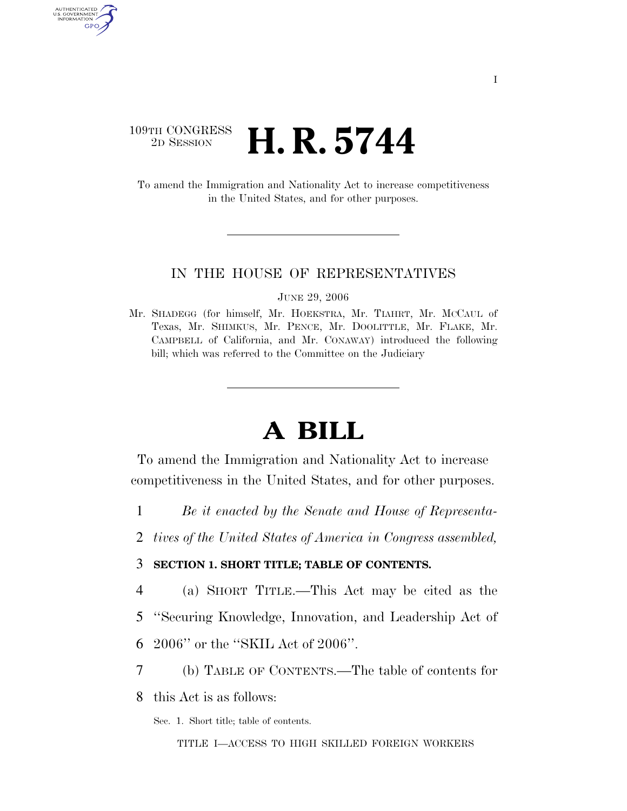## 109TH CONGRESS<br>2D SESSION **H. R. 5744**

AUTHENTICATED U.S. GOVERNMENT GPO

> To amend the Immigration and Nationality Act to increase competitiveness in the United States, and for other purposes.

### IN THE HOUSE OF REPRESENTATIVES

JUNE 29, 2006

Mr. SHADEGG (for himself, Mr. HOEKSTRA, Mr. TIAHRT, Mr. MCCAUL of Texas, Mr. SHIMKUS, Mr. PENCE, Mr. DOOLITTLE, Mr. FLAKE, Mr. CAMPBELL of California, and Mr. CONAWAY) introduced the following bill; which was referred to the Committee on the Judiciary

# **A BILL**

To amend the Immigration and Nationality Act to increase competitiveness in the United States, and for other purposes.

- 1 *Be it enacted by the Senate and House of Representa-*
- 2 *tives of the United States of America in Congress assembled,*

3 **SECTION 1. SHORT TITLE; TABLE OF CONTENTS.** 

- 4 (a) SHORT TITLE.—This Act may be cited as the
- 5 ''Securing Knowledge, Innovation, and Leadership Act of
- 6 2006'' or the ''SKIL Act of 2006''.
- 7 (b) TABLE OF CONTENTS.—The table of contents for

8 this Act is as follows:

Sec. 1. Short title; table of contents.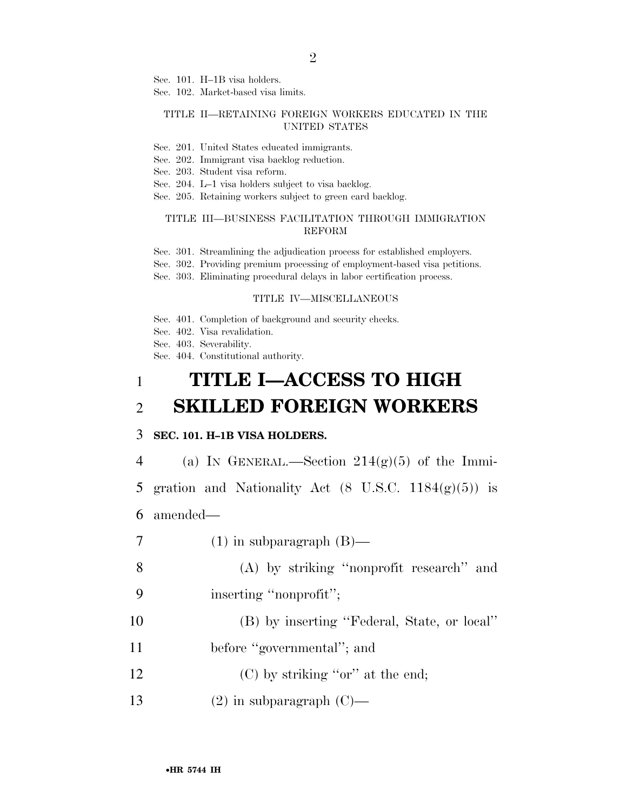2

Sec. 101. H–1B visa holders.

Sec. 102. Market-based visa limits.

#### TITLE II—RETAINING FOREIGN WORKERS EDUCATED IN THE UNITED STATES

- Sec. 201. United States educated immigrants.
- Sec. 202. Immigrant visa backlog reduction.

Sec. 203. Student visa reform.

- Sec. 204. L–1 visa holders subject to visa backlog.
- Sec. 205. Retaining workers subject to green card backlog.

### TITLE III—BUSINESS FACILITATION THROUGH IMMIGRATION REFORM

- Sec. 301. Streamlining the adjudication process for established employers.
- Sec. 302. Providing premium processing of employment-based visa petitions.
- Sec. 303. Eliminating procedural delays in labor certification process.

#### TITLE IV—MISCELLANEOUS

- Sec. 401. Completion of background and security checks.
- Sec. 402. Visa revalidation.
- Sec. 403. Severability.

Sec. 404. Constitutional authority.

# 1 **TITLE I—ACCESS TO HIGH**  2 **SKILLED FOREIGN WORKERS**

### 3 **SEC. 101. H–1B VISA HOLDERS.**

4 (a) IN GENERAL.—Section  $214(g)(5)$  of the Immi-

5 gration and Nationality Act  $(8 \text{ U.S.C. } 1184(g)(5))$  is

- 6 amended—
- 7 (1) in subparagraph  $(B)$ —

8 (A) by striking ''nonprofit research'' and 9 inserting ''nonprofit'';

- 10 (B) by inserting ''Federal, State, or local''
- 11 before "governmental"; and
- 12 (C) by striking "or" at the end;
- 13  $(2)$  in subparagraph  $(C)$ —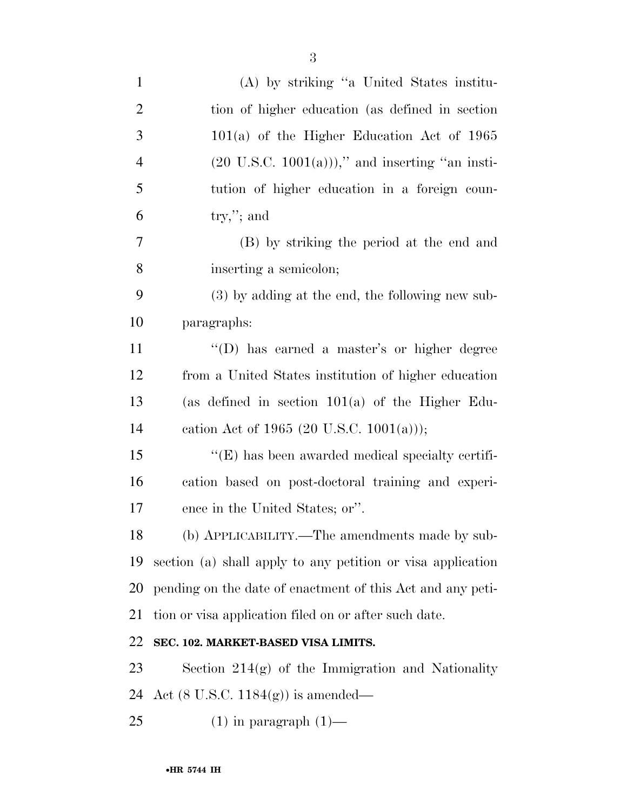| $\mathbf{1}$   | (A) by striking "a United States institu-                   |
|----------------|-------------------------------------------------------------|
| $\overline{2}$ | tion of higher education (as defined in section)            |
| 3              | $101(a)$ of the Higher Education Act of 1965                |
| $\overline{4}$ | $(20 \text{ U.S.C. } 1001(a))$ ," and inserting "an insti-  |
| 5              | tution of higher education in a foreign coun-               |
| 6              | $try,$ "; and                                               |
| 7              | (B) by striking the period at the end and                   |
| 8              | inserting a semicolon;                                      |
| 9              | (3) by adding at the end, the following new sub-            |
| 10             | paragraphs:                                                 |
| 11             | "(D) has earned a master's or higher degree                 |
| 12             | from a United States institution of higher education        |
| 13             | (as defined in section $101(a)$ of the Higher Edu-          |
| 14             | cation Act of 1965 (20 U.S.C. 1001(a)));                    |
| 15             | $\lq\lq$ (E) has been awarded medical specialty certifi-    |
| 16             | cation based on post-doctoral training and experi-          |
| 17             | ence in the United States; or".                             |
| 18             | (b) APPLICABILITY.—The amendments made by sub-              |
| 19             | section (a) shall apply to any petition or visa application |
| <b>20</b>      | pending on the date of enactment of this Act and any peti-  |
| 21             | tion or visa application filed on or after such date.       |
| 22             | SEC. 102. MARKET-BASED VISA LIMITS.                         |
| 23             | Section $214(g)$ of the Immigration and Nationality         |
| 24             | Act $(8 \text{ U.S.C. } 1184(g))$ is amended—               |
| 25             | $(1)$ in paragraph $(1)$ —                                  |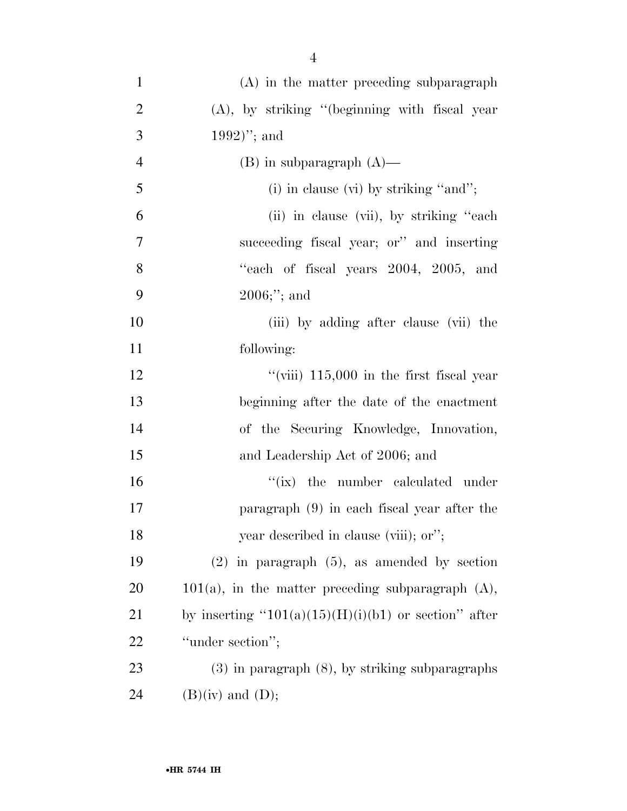| $\mathbf{1}$   | (A) in the matter preceding subparagraph                |
|----------------|---------------------------------------------------------|
| $\overline{2}$ | $(A)$ , by striking "(beginning with fiscal year        |
| 3              | $1992)$ "; and                                          |
| $\overline{4}$ | $(B)$ in subparagraph $(A)$ —                           |
| 5              | (i) in clause (vi) by striking "and";                   |
| 6              | (ii) in clause (vii), by striking "each"                |
| 7              | succeeding fiscal year; or" and inserting               |
| 8              | "each of fiscal years 2004, 2005, and                   |
| 9              | $2006;$ "; and                                          |
| 10             | (iii) by adding after clause (vii) the                  |
| 11             | following:                                              |
| 12             | "(viii) $115,000$ in the first fiscal year              |
| 13             | beginning after the date of the enactment               |
| 14             | of the Securing Knowledge, Innovation,                  |
| 15             | and Leadership Act of 2006; and                         |
| 16             | "(ix) the number calculated under                       |
| 17             | paragraph (9) in each fiscal year after the             |
| 18             | year described in clause (viii); or";                   |
| 19             | $(2)$ in paragraph $(5)$ , as amended by section        |
| 20             | $101(a)$ , in the matter preceding subparagraph $(A)$ , |
| 21             | by inserting " $101(a)(15)(H)(i)(b1)$ or section" after |
| 22             | "under section";                                        |
| 23             | $(3)$ in paragraph $(8)$ , by striking subparagraphs    |
| 24             | $(B)(iv)$ and $(D);$                                    |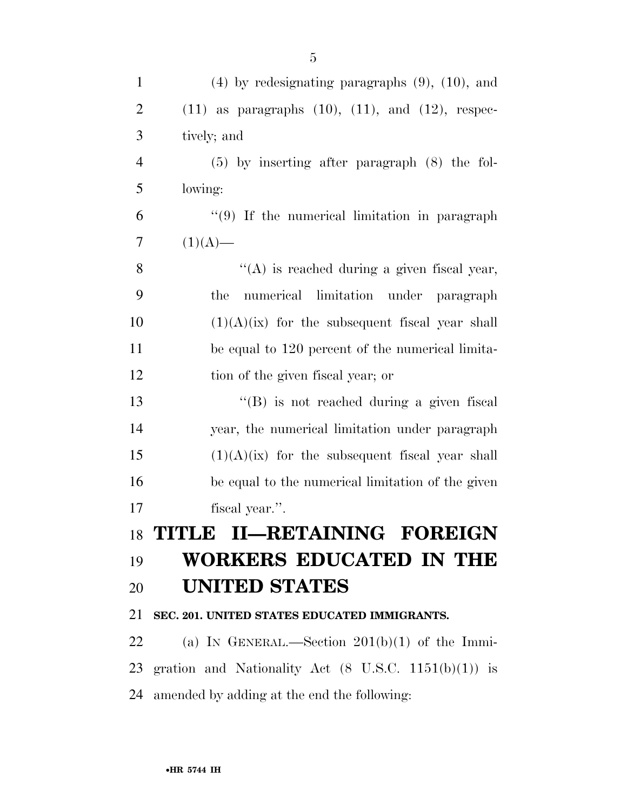| $\mathbf{1}$   | $(4)$ by redesignating paragraphs $(9)$ , $(10)$ , and          |
|----------------|-----------------------------------------------------------------|
| $\overline{2}$ | $(11)$ as paragraphs $(10)$ , $(11)$ , and $(12)$ , respec-     |
| 3              | tively; and                                                     |
| $\overline{4}$ | $(5)$ by inserting after paragraph $(8)$ the fol-               |
| 5              | lowing:                                                         |
| 6              | $\lq(9)$ If the numerical limitation in paragraph               |
| 7              | $(1)(A)$ —                                                      |
| 8              | $\lq\lq$ is reached during a given fiscal year,                 |
| 9              | numerical limitation under paragraph<br>the                     |
| 10             | $(1)(A)(ix)$ for the subsequent fiscal year shall               |
| 11             | be equal to 120 percent of the numerical limita-                |
| 12             | tion of the given fiscal year; or                               |
| 13             | "(B) is not reached during a given fiscal                       |
| 14             | year, the numerical limitation under paragraph                  |
| 15             | $(1)(A)(ix)$ for the subsequent fiscal year shall               |
| 16             | be equal to the numerical limitation of the given               |
| 17             | fiscal year.".                                                  |
|                | 18 TITLE II—RETAINING FOREIGN                                   |
| 19             | <b>WORKERS EDUCATED IN THE</b>                                  |
| 20             | <b>UNITED STATES</b>                                            |
| 21             | SEC. 201. UNITED STATES EDUCATED IMMIGRANTS.                    |
| 22             | (a) IN GENERAL.—Section $201(b)(1)$ of the Immi-                |
| 23             | gration and Nationality Act $(8 \text{ U.S.C. } 1151(b)(1))$ is |
| 24             | amended by adding at the end the following:                     |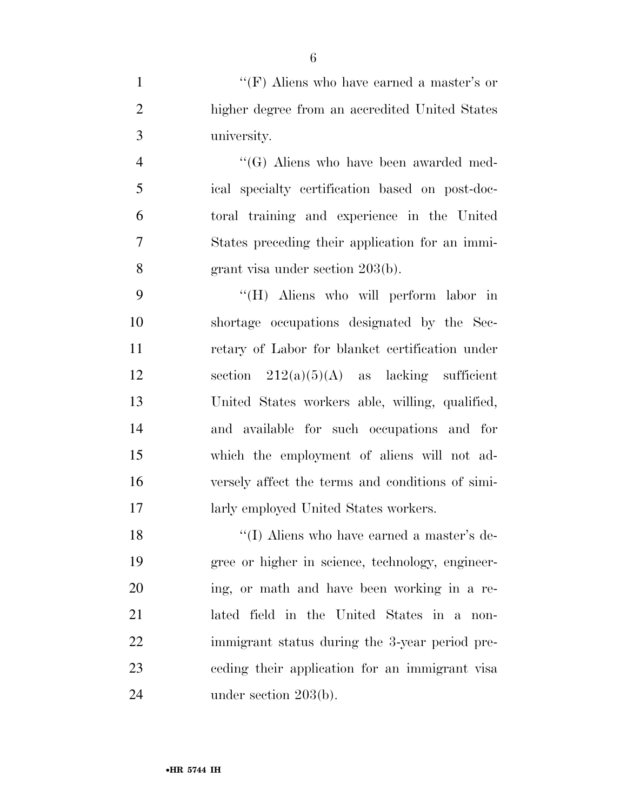1 ''(F) Aliens who have earned a master's or higher degree from an accredited United States university.

 ''(G) Aliens who have been awarded med- ical specialty certification based on post-doc- toral training and experience in the United States preceding their application for an immi-grant visa under section 203(b).

 ''(H) Aliens who will perform labor in shortage occupations designated by the Sec- retary of Labor for blanket certification under 12 section  $212(a)(5)(A)$  as lacking sufficient United States workers able, willing, qualified, and available for such occupations and for which the employment of aliens will not ad- versely affect the terms and conditions of simi-larly employed United States workers.

18 ''(I) Aliens who have earned a master's de- gree or higher in science, technology, engineer- ing, or math and have been working in a re- lated field in the United States in a non- immigrant status during the 3-year period pre- ceding their application for an immigrant visa 24 under section 203(b).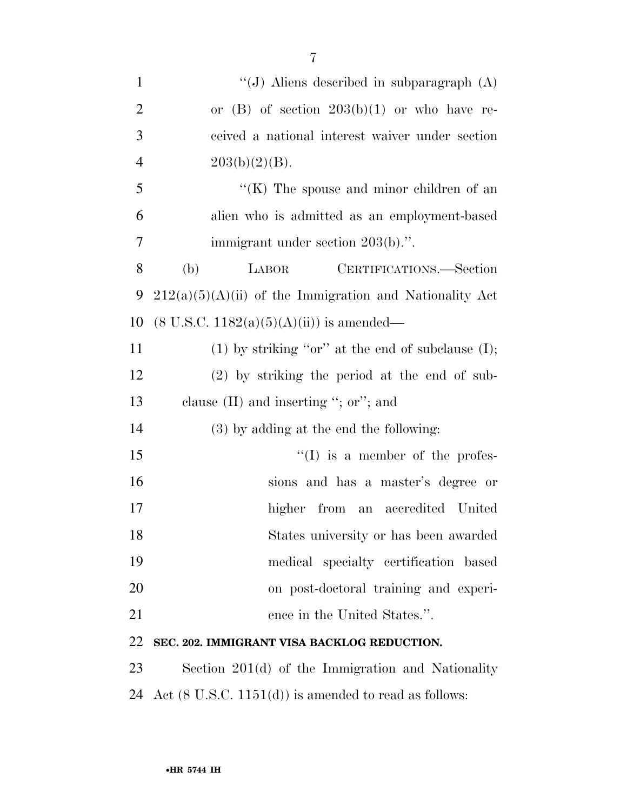| $\mathbf{1}$   | "(J) Aliens described in subparagraph $(A)$               |
|----------------|-----------------------------------------------------------|
| $\overline{2}$ | or (B) of section $203(b)(1)$ or who have re-             |
| 3              | ceived a national interest waiver under section           |
| $\overline{4}$ | $203(b)(2)(B)$ .                                          |
| 5              | $H(K)$ The spouse and minor children of an                |
| 6              | alien who is admitted as an employment-based              |
| 7              | immigrant under section 203(b).".                         |
| 8              | CERTIFICATIONS.-Section<br>(b)<br>LABOR                   |
| 9              | $212(a)(5)(A)(ii)$ of the Immigration and Nationality Act |
| 10             | $(8 \text{ U.S.C. } 1182(a)(5)(A)(ii))$ is amended—       |
| 11             | (1) by striking "or" at the end of subclause $(I)$ ;      |
| 12             | $(2)$ by striking the period at the end of sub-           |
| 13             | clause $(II)$ and inserting "; or"; and                   |
| 14             | (3) by adding at the end the following:                   |
| 15             | $\lq\lq$ (I) is a member of the profes-                   |
| 16             | sions and has a master's degree or                        |
| 17             | higher from an accredited United                          |
| 18             | States university or has been awarded                     |
| 19             | medical specialty certification based                     |
| 20             | on post-doctoral training and experi-                     |

21 ence in the United States.".

### **SEC. 202. IMMIGRANT VISA BACKLOG REDUCTION.**

 Section 201(d) of the Immigration and Nationality 24 Act  $(8 \text{ U.S.C. } 1151(d))$  is amended to read as follows: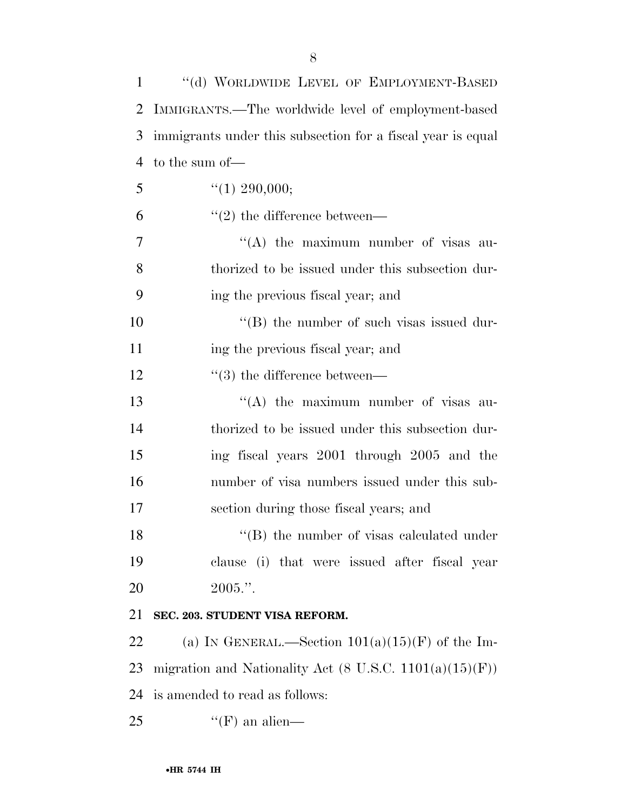| 1  | "(d) WORLDWIDE LEVEL OF EMPLOYMENT-BASED                                  |
|----|---------------------------------------------------------------------------|
| 2  | IMMIGRANTS.—The worldwide level of employment-based                       |
| 3  | immigrants under this subsection for a fiscal year is equal               |
| 4  | to the sum of-                                                            |
| 5  | $\lq(1)$ 290,000;                                                         |
| 6  | $\lq(2)$ the difference between—                                          |
| 7  | "(A) the maximum number of visas au-                                      |
| 8  | thorized to be issued under this subsection dur-                          |
| 9  | ing the previous fiscal year; and                                         |
| 10 | $\lq\lq$ (B) the number of such visas issued dur-                         |
| 11 | ing the previous fiscal year; and                                         |
| 12 | $\lq(3)$ the difference between—                                          |
| 13 | "(A) the maximum number of visas au-                                      |
| 14 | thorized to be issued under this subsection dur-                          |
| 15 | ing fiscal years 2001 through 2005 and the                                |
| 16 | number of visa numbers issued under this sub-                             |
| 17 | section during those fiscal years; and                                    |
| 18 | $\lq\lq$ (B) the number of visas calculated under                         |
| 19 | clause (i) that were issued after fiscal year                             |
| 20 | $2005."$ .                                                                |
| 21 | SEC. 203. STUDENT VISA REFORM.                                            |
| 22 | (a) IN GENERAL.—Section $101(a)(15)(F)$ of the Im-                        |
| 23 | migration and Nationality Act $(8 \text{ U.S.C. } 1101(a)(15)(\text{F}))$ |
| 24 | is amended to read as follows:                                            |
| 25 | $\lq\lq(F)$ an alien—                                                     |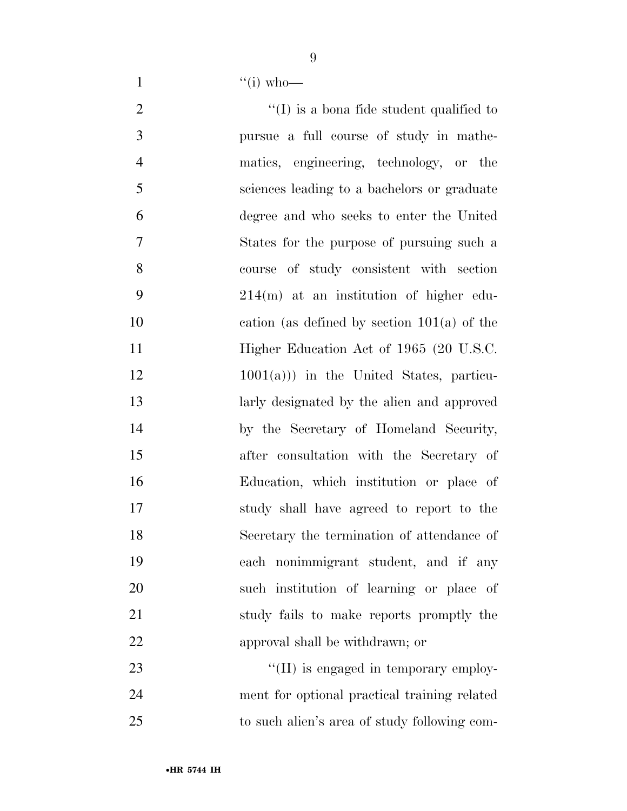1  $\frac{4}{10}$  who—

- 2  $\langle (I) \rangle$  is a bona fide student qualified to pursue a full course of study in mathe- matics, engineering, technology, or the sciences leading to a bachelors or graduate degree and who seeks to enter the United States for the purpose of pursuing such a course of study consistent with section 214(m) at an institution of higher edu- cation (as defined by section 101(a) of the 11 Higher Education Act of 1965 (20 U.S.C. 1001(a))) in the United States, particu- larly designated by the alien and approved by the Secretary of Homeland Security, after consultation with the Secretary of Education, which institution or place of study shall have agreed to report to the Secretary the termination of attendance of each nonimmigrant student, and if any such institution of learning or place of study fails to make reports promptly the approval shall be withdrawn; or 23  $\frac{1}{2}$  (II) is engaged in temporary employ-ment for optional practical training related
- to such alien's area of study following com-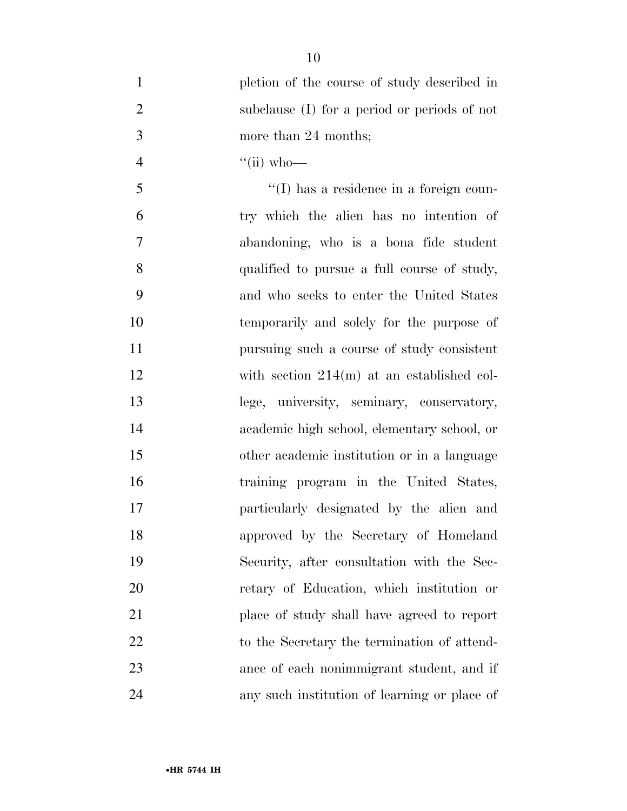| $\mathbf{1}$   | pletion of the course of study described in     |
|----------------|-------------------------------------------------|
| $\overline{2}$ | subclause (I) for a period or periods of not    |
| 3              | more than 24 months;                            |
| $\overline{4}$ | $\lq\lq$ (ii) who—                              |
| 5              | $\lq\lq$ (I) has a residence in a foreign coun- |
| 6              | try which the alien has no intention of         |
| 7              | abandoning, who is a bona fide student          |
| 8              | qualified to pursue a full course of study,     |
| 9              | and who seeks to enter the United States        |
| 10             | temporarily and solely for the purpose of       |
| 11             | pursuing such a course of study consistent      |
| 12             | with section $214(m)$ at an established col-    |
| 13             | lege, university, seminary, conservatory,       |
| 14             | academic high school, elementary school, or     |
| 15             | other academic institution or in a language     |
| 16             | training program in the United States,          |
| 17             | particularly designated by the alien and        |
| 18             | approved by the Secretary of Homeland           |
| 19             | Security, after consultation with the Sec-      |
| 20             | retary of Education, which institution or       |
| 21             | place of study shall have agreed to report      |
| 22             | to the Secretary the termination of attend-     |
| 23             | ance of each nonimmigrant student, and if       |
| 24             | any such institution of learning or place of    |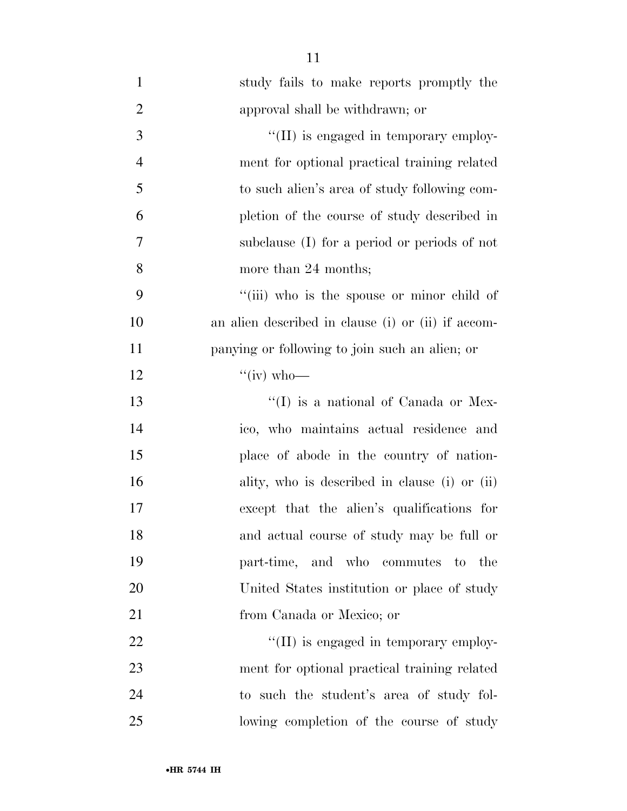| $\mathbf{1}$   | study fails to make reports promptly the           |
|----------------|----------------------------------------------------|
| $\overline{2}$ | approval shall be withdrawn; or                    |
| 3              | "(II) is engaged in temporary employ-              |
| $\overline{4}$ | ment for optional practical training related       |
| 5              | to such alien's area of study following com-       |
| 6              | pletion of the course of study described in        |
| 7              | subclause (I) for a period or periods of not       |
| 8              | more than 24 months;                               |
| 9              | "(iii) who is the spouse or minor child of         |
| 10             | an alien described in clause (i) or (ii) if accom- |
| 11             | panying or following to join such an alien; or     |
| 12             | " $(iv)$ who-                                      |
| 13             | $\lq\lq$ (I) is a national of Canada or Mex-       |
| 14             | ico, who maintains actual residence and            |
| 15             | place of abode in the country of nation-           |
| 16             | ality, who is described in clause (i) or (ii)      |
| 17             | except that the alien's qualifications for         |
| 18             | and actual course of study may be full or          |
| 19             | part-time, and who commutes to<br>the              |
| 20             | United States institution or place of study        |
| 21             | from Canada or Mexico; or                          |
| 22             | "(II) is engaged in temporary employ-              |
| 23             | ment for optional practical training related       |
| 24             | to such the student's area of study fol-           |
| 25             | lowing completion of the course of study           |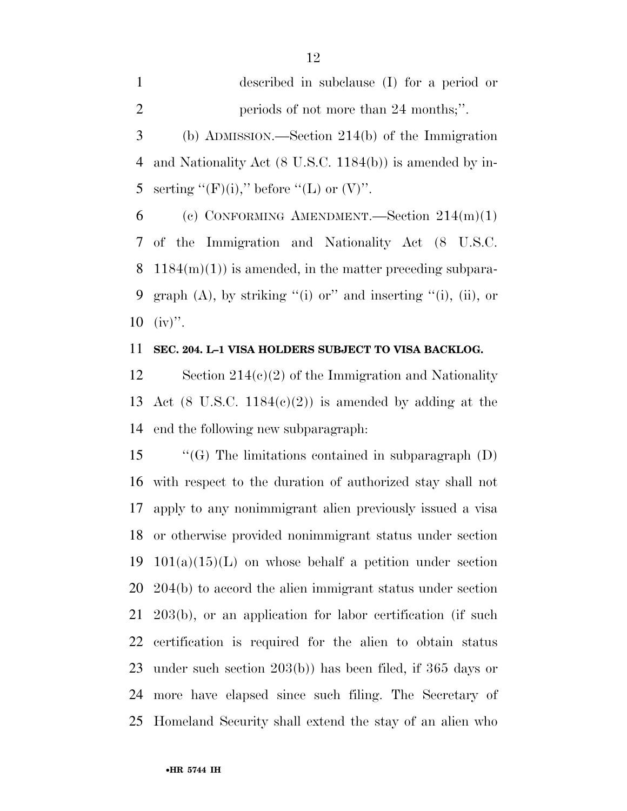described in subclause (I) for a period or 2 periods of not more than 24 months;".

 (b) ADMISSION.—Section 214(b) of the Immigration and Nationality Act (8 U.S.C. 1184(b)) is amended by in-5 serting " $(F)(i)$ ," before " $(L)$  or  $(V)$ ".

6 (c) CONFORMING AMENDMENT. Section  $214(m)(1)$  of the Immigration and Nationality Act (8 U.S.C. 8  $1184(m)(1)$  is amended, in the matter preceding subpara-9 graph  $(A)$ , by striking "(i) or" and inserting "(i), (ii), or  $10 \,$  (iv)".

### **SEC. 204. L–1 VISA HOLDERS SUBJECT TO VISA BACKLOG.**

12 Section 214(c)(2) of the Immigration and Nationality 13 Act (8 U.S.C. 1184 $(c)(2)$ ) is amended by adding at the end the following new subparagraph:

 ''(G) The limitations contained in subparagraph (D) with respect to the duration of authorized stay shall not apply to any nonimmigrant alien previously issued a visa or otherwise provided nonimmigrant status under section 19 101(a)(15)(L) on whose behalf a petition under section 204(b) to accord the alien immigrant status under section 203(b), or an application for labor certification (if such certification is required for the alien to obtain status under such section 203(b)) has been filed, if 365 days or more have elapsed since such filing. The Secretary of Homeland Security shall extend the stay of an alien who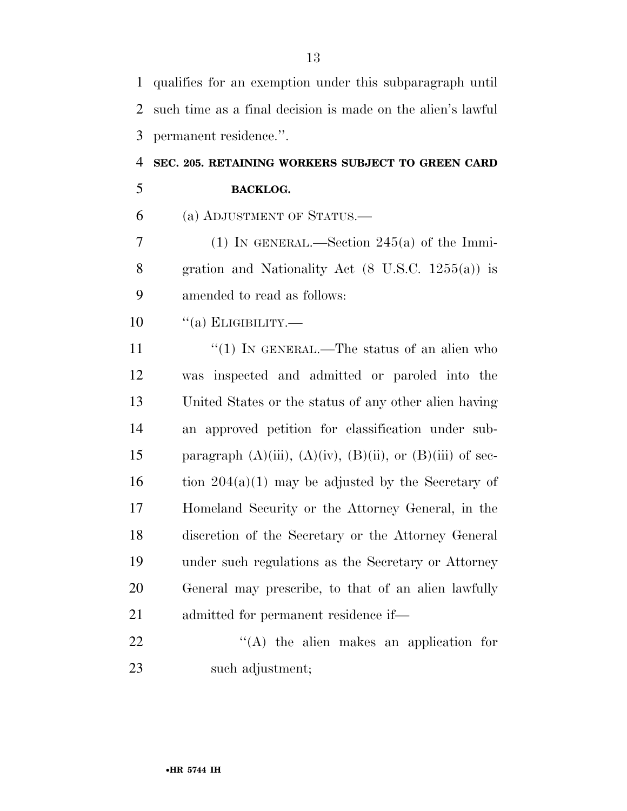| $\mathbf{1}$ | qualifies for an exemption under this subparagraph until             |
|--------------|----------------------------------------------------------------------|
| 2            | such time as a final decision is made on the alien's lawful          |
| 3            | permanent residence.".                                               |
| 4            | SEC. 205. RETAINING WORKERS SUBJECT TO GREEN CARD                    |
| 5            | <b>BACKLOG.</b>                                                      |
| 6            | (a) ADJUSTMENT OF STATUS.—                                           |
| 7            | (1) IN GENERAL.—Section $245(a)$ of the Immi-                        |
| 8            | gration and Nationality Act $(8 \text{ U.S.C. } 1255(a))$ is         |
| 9            | amended to read as follows:                                          |
| 10           | $``(a)$ ELIGIBILITY.—                                                |
| 11           | "(1) IN GENERAL.—The status of an alien who                          |
| 12           | was inspected and admitted or paroled into the                       |
| 13           | United States or the status of any other alien having                |
| 14           | an approved petition for classification under sub-                   |
| 15           | paragraph $(A)(iii)$ , $(A)(iv)$ , $(B)(ii)$ , or $(B)(iii)$ of sec- |
| 16           | tion $204(a)(1)$ may be adjusted by the Secretary of                 |
| 17           | Homeland Security or the Attorney General, in the                    |
| 18           | discretion of the Secretary or the Attorney General                  |
| 19           | under such regulations as the Secretary or Attorney                  |
| 20           | General may prescribe, to that of an alien lawfully                  |
| 21           | admitted for permanent residence if—                                 |
| 22           | $\lq\lq$ the alien makes an application for                          |
| 23           | such adjustment;                                                     |

•**HR 5744 IH**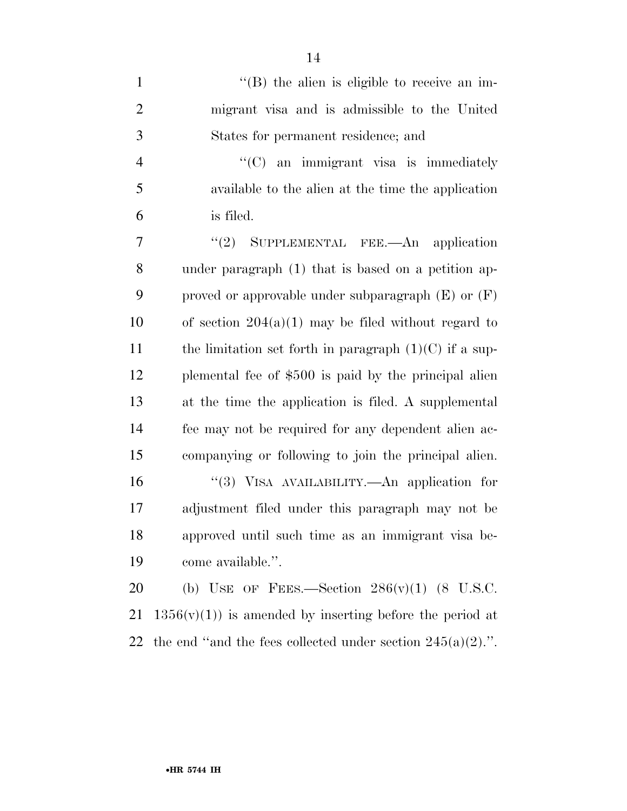| $\mathbf{1}$   | $\lq\lq$ (B) the alien is eligible to receive an im-     |
|----------------|----------------------------------------------------------|
| $\overline{2}$ | migrant visa and is admissible to the United             |
| 3              | States for permanent residence; and                      |
| $\overline{4}$ | $\lq\lq$ (C) an immigrant visa is immediately            |
| 5              | available to the alien at the time the application       |
| 6              | is filed.                                                |
| 7              | SUPPLEMENTAL FEE.—An application<br>(2)                  |
| 8              | under paragraph (1) that is based on a petition ap-      |
| 9              | proved or approvable under subparagraph $(E)$ or $(F)$   |
| 10             | of section $204(a)(1)$ may be filed without regard to    |
| 11             | the limitation set forth in paragraph $(1)(C)$ if a sup- |
| 12             | plemental fee of \$500 is paid by the principal alien    |
| 13             | at the time the application is filed. A supplemental     |
| 14             | fee may not be required for any dependent alien ac-      |
| 15             | companying or following to join the principal alien.     |
| 16             | "(3) VISA AVAILABILITY.—An application for               |
| 17             | adjustment filed under this paragraph may not be         |
| 18             | approved until such time as an immigrant visa be-        |
| 19             | come available.".                                        |
| 20             | (b) USE OF FEES.—Section $286(v)(1)$ (8 U.S.C.           |
|                |                                                          |

21  $1356(v)(1)$  is amended by inserting before the period at 22 the end "and the fees collected under section  $245(a)(2)$ .".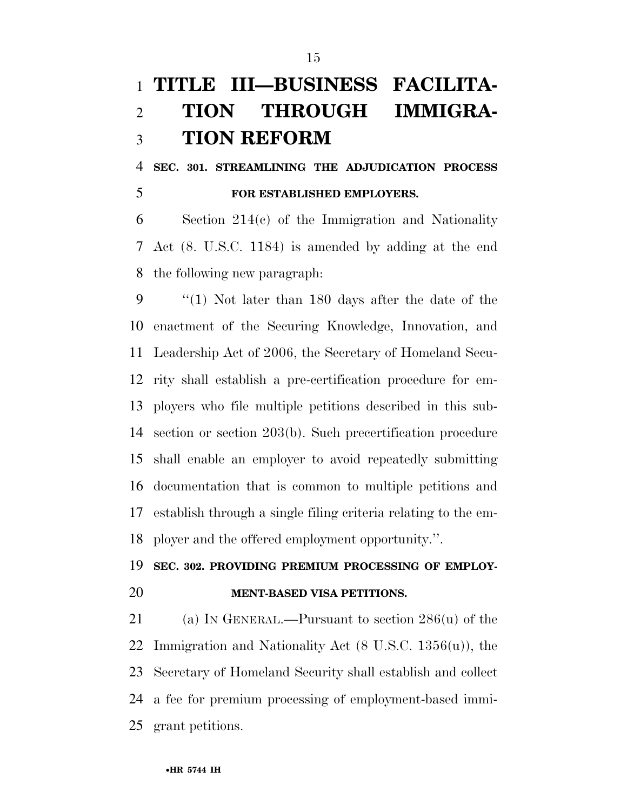# **TITLE III—BUSINESS FACILITA- TION THROUGH IMMIGRA-TION REFORM**

 **SEC. 301. STREAMLINING THE ADJUDICATION PROCESS FOR ESTABLISHED EMPLOYERS.** 

 Section 214(c) of the Immigration and Nationality Act (8. U.S.C. 1184) is amended by adding at the end the following new paragraph:

 ''(1) Not later than 180 days after the date of the enactment of the Securing Knowledge, Innovation, and Leadership Act of 2006, the Secretary of Homeland Secu- rity shall establish a pre-certification procedure for em- ployers who file multiple petitions described in this sub- section or section 203(b). Such precertification procedure shall enable an employer to avoid repeatedly submitting documentation that is common to multiple petitions and establish through a single filing criteria relating to the em-ployer and the offered employment opportunity.''.

### **SEC. 302. PROVIDING PREMIUM PROCESSING OF EMPLOY-**

### **MENT-BASED VISA PETITIONS.**

 (a) IN GENERAL.—Pursuant to section 286(u) of the Immigration and Nationality Act (8 U.S.C. 1356(u)), the Secretary of Homeland Security shall establish and collect a fee for premium processing of employment-based immi-grant petitions.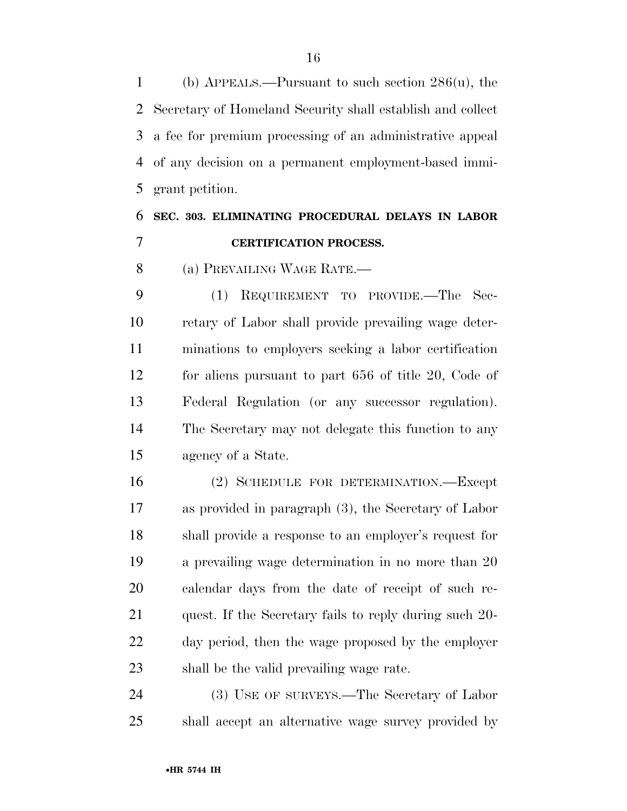(b) APPEALS.—Pursuant to such section 286(u), the Secretary of Homeland Security shall establish and collect a fee for premium processing of an administrative appeal of any decision on a permanent employment-based immi-grant petition.

## **SEC. 303. ELIMINATING PROCEDURAL DELAYS IN LABOR CERTIFICATION PROCESS.**

(a) PREVAILING WAGE RATE.—

 (1) REQUIREMENT TO PROVIDE.—The Sec- retary of Labor shall provide prevailing wage deter- minations to employers seeking a labor certification for aliens pursuant to part 656 of title 20, Code of Federal Regulation (or any successor regulation). The Secretary may not delegate this function to any agency of a State.

 (2) SCHEDULE FOR DETERMINATION.—Except as provided in paragraph (3), the Secretary of Labor shall provide a response to an employer's request for a prevailing wage determination in no more than 20 calendar days from the date of receipt of such re- quest. If the Secretary fails to reply during such 20- day period, then the wage proposed by the employer shall be the valid prevailing wage rate.

 (3) USE OF SURVEYS.—The Secretary of Labor shall accept an alternative wage survey provided by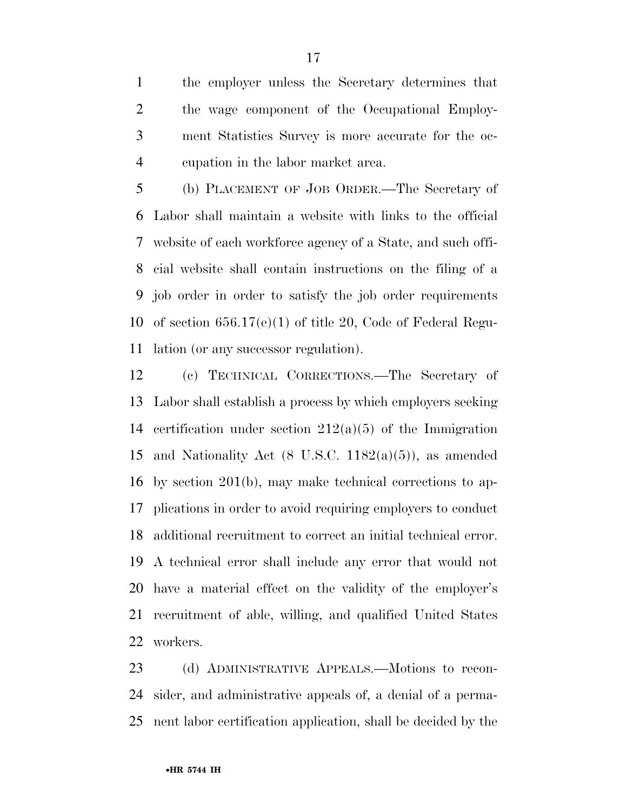the employer unless the Secretary determines that the wage component of the Occupational Employ- ment Statistics Survey is more accurate for the oc-cupation in the labor market area.

 (b) PLACEMENT OF JOB ORDER.—The Secretary of Labor shall maintain a website with links to the official website of each workforce agency of a State, and such offi- cial website shall contain instructions on the filing of a job order in order to satisfy the job order requirements of section 656.17(e)(1) of title 20, Code of Federal Regu-lation (or any successor regulation).

 (c) TECHNICAL CORRECTIONS.—The Secretary of Labor shall establish a process by which employers seeking certification under section 212(a)(5) of the Immigration 15 and Nationality Act  $(8 \text{ U.S.C. } 1182(a)(5))$ , as amended by section 201(b), may make technical corrections to ap- plications in order to avoid requiring employers to conduct additional recruitment to correct an initial technical error. A technical error shall include any error that would not have a material effect on the validity of the employer's recruitment of able, willing, and qualified United States workers.

 (d) ADMINISTRATIVE APPEALS.—Motions to recon- sider, and administrative appeals of, a denial of a perma-nent labor certification application, shall be decided by the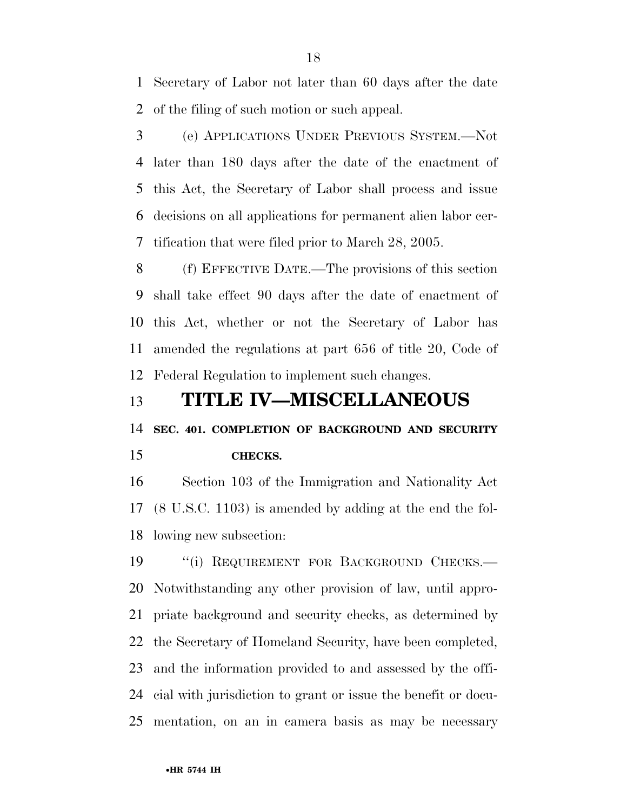Secretary of Labor not later than 60 days after the date of the filing of such motion or such appeal.

 (e) APPLICATIONS UNDER PREVIOUS SYSTEM.—Not later than 180 days after the date of the enactment of this Act, the Secretary of Labor shall process and issue decisions on all applications for permanent alien labor cer-tification that were filed prior to March 28, 2005.

 (f) EFFECTIVE DATE.—The provisions of this section shall take effect 90 days after the date of enactment of this Act, whether or not the Secretary of Labor has amended the regulations at part 656 of title 20, Code of Federal Regulation to implement such changes.

## **TITLE IV—MISCELLANEOUS**

**SEC. 401. COMPLETION OF BACKGROUND AND SECURITY** 

### **CHECKS.**

 Section 103 of the Immigration and Nationality Act (8 U.S.C. 1103) is amended by adding at the end the fol-lowing new subsection:

19 "(i) REQUIREMENT FOR BACKGROUND CHECKS.— Notwithstanding any other provision of law, until appro- priate background and security checks, as determined by the Secretary of Homeland Security, have been completed, and the information provided to and assessed by the offi- cial with jurisdiction to grant or issue the benefit or docu-mentation, on an in camera basis as may be necessary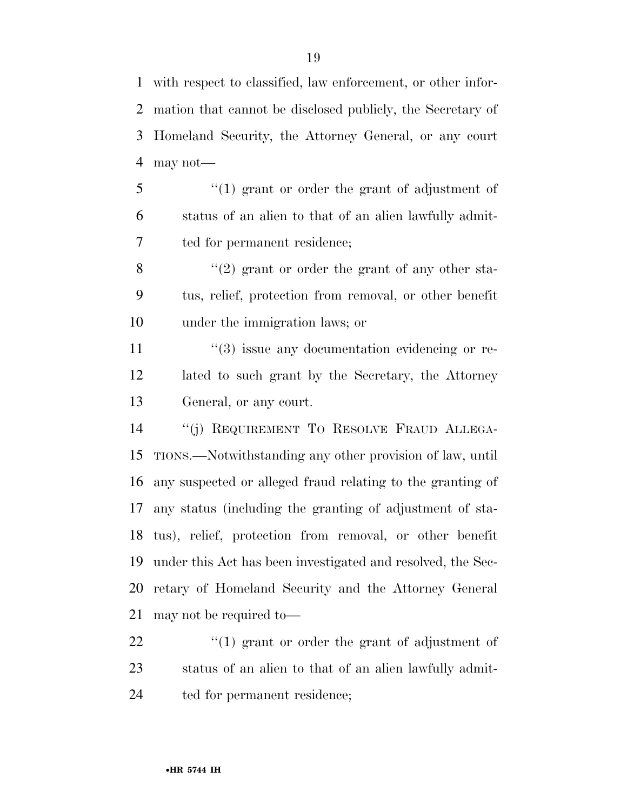with respect to classified, law enforcement, or other infor- mation that cannot be disclosed publicly, the Secretary of Homeland Security, the Attorney General, or any court may not—

 ''(1) grant or order the grant of adjustment of status of an alien to that of an alien lawfully admit-ted for permanent residence;

 $\mathcal{S}$  ''(2) grant or order the grant of any other sta- tus, relief, protection from removal, or other benefit under the immigration laws; or

11  $\frac{1}{3}$  issue any documentation evidencing or re- lated to such grant by the Secretary, the Attorney General, or any court.

 ''(j) REQUIREMENT TO RESOLVE FRAUD ALLEGA- TIONS.—Notwithstanding any other provision of law, until any suspected or alleged fraud relating to the granting of any status (including the granting of adjustment of sta- tus), relief, protection from removal, or other benefit under this Act has been investigated and resolved, the Sec- retary of Homeland Security and the Attorney General may not be required to—

22  $\frac{1}{2}$  (1) grant or order the grant of adjustment of status of an alien to that of an alien lawfully admit-ted for permanent residence;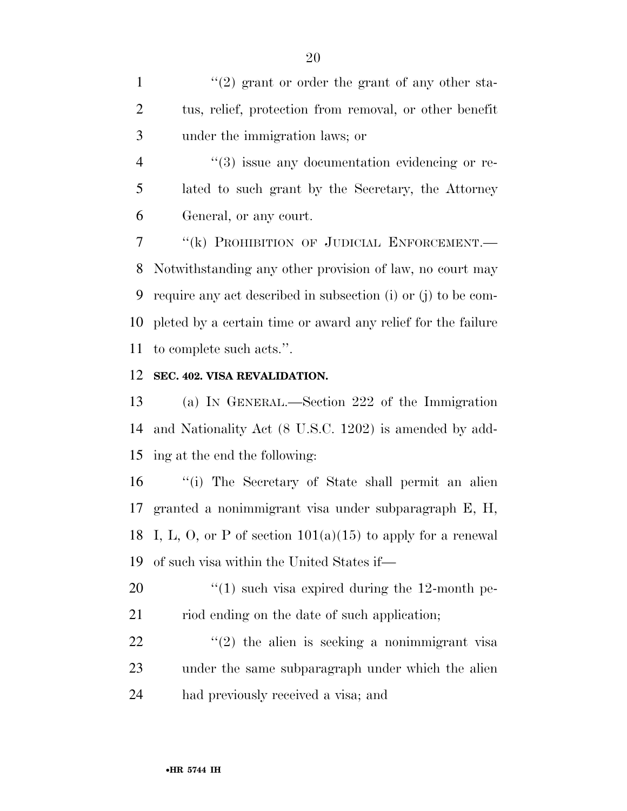1  $\frac{1}{2}$  (2) grant or order the grant of any other sta- tus, relief, protection from removal, or other benefit under the immigration laws; or

4  $(3)$  issue any documentation evidencing or re- lated to such grant by the Secretary, the Attorney General, or any court.

 ''(k) PROHIBITION OF JUDICIAL ENFORCEMENT.— Notwithstanding any other provision of law, no court may require any act described in subsection (i) or (j) to be com- pleted by a certain time or award any relief for the failure to complete such acts.''.

### **SEC. 402. VISA REVALIDATION.**

 (a) IN GENERAL.—Section 222 of the Immigration and Nationality Act (8 U.S.C. 1202) is amended by add-ing at the end the following:

 ''(i) The Secretary of State shall permit an alien granted a nonimmigrant visa under subparagraph E, H, 18 I, L, O, or P of section  $101(a)(15)$  to apply for a renewal of such visa within the United States if—

20  $\frac{1}{2}$  (1) such visa expired during the 12-month pe-21 riod ending on the date of such application;

22  $(2)$  the alien is seeking a nonimmigrant visa under the same subparagraph under which the alien had previously received a visa; and